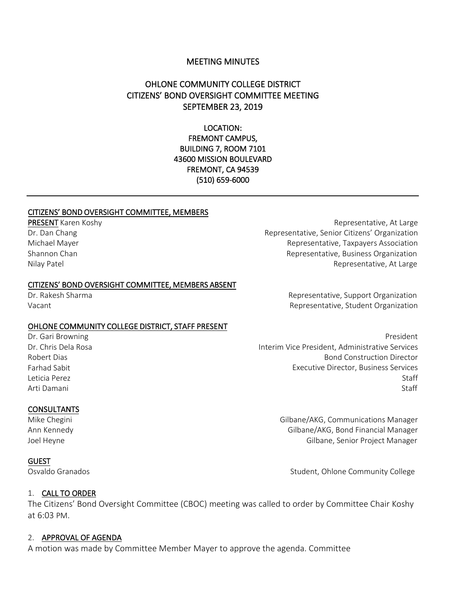### MEETING MINUTES

# OHLONE COMMUNITY COLLEGE DISTRICT CITIZENS' BOND OVERSIGHT COMMITTEE MEETING SEPTEMBER 23, 2019

LOCATION: FREMONT CAMPUS, BUILDING 7, ROOM 7101 43600 MISSION BOULEVARD FREMONT, CA 94539 (510) 659-6000

#### CITIZENS' BOND OVERSIGHT COMMITTEE, MEMBERS

PRESENT Karen Koshy Dr. Dan Chang Michael Mayer Shannon Chan Nilay Patel

#### CITIZENS' BOND OVERSIGHT COMMITTEE, MEMBERS ABSENT

Dr. Rakesh Sharma Vacant

#### OHLONE COMMUNITY COLLEGE DISTRICT, STAFF PRESENT

Dr. Gari Browning Dr. Chris Dela Rosa Robert Dias Farhad Sabit Leticia Perez Arti Damani

#### **CONSULTANTS**

Mike Chegini Ann Kennedy Joel Heyne

#### GUEST

1. CALL TO ORDER

The Citizens' Bond Oversight Committee (CBOC) meeting was called to order by Committee Chair Koshy at 6:03 PM.

#### 2. APPROVAL OF AGENDA

A motion was made by Committee Member Mayer to approve the agenda. Committee

Representative, At Large Representative, Senior Citizens' Organization Representative, Taxpayers Association Representative, Business Organization Representative, At Large

> Representative, Support Organization Representative, Student Organization

 President Interim Vice President, Administrative Services Bond Construction Director Executive Director, Business Services Staff Staff

> Gilbane/AKG, Communications Manager Gilbane/AKG, Bond Financial Manager Gilbane, Senior Project Manager

Osvaldo Granados **Student**, Ohlone Community College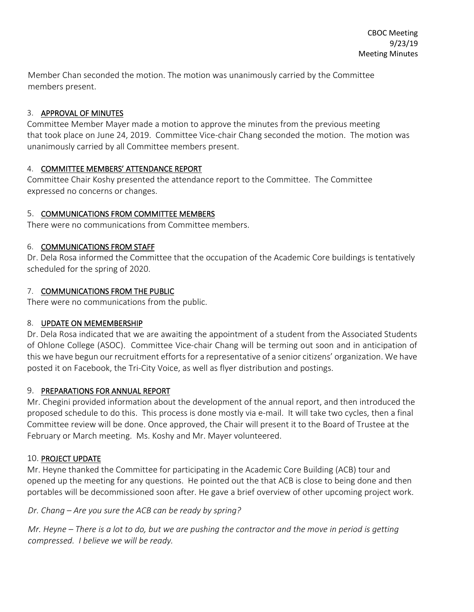Member Chan seconded the motion. The motion was unanimously carried by the Committee members present.

## 3. APPROVAL OF MINUTES

Committee Member Mayer made a motion to approve the minutes from the previous meeting that took place on June 24, 2019. Committee Vice-chair Chang seconded the motion. The motion was unanimously carried by all Committee members present.

## 4. COMMITTEE MEMBERS' ATTENDANCE REPORT

Committee Chair Koshy presented the attendance report to the Committee. The Committee expressed no concerns or changes.

## 5. COMMUNICATIONS FROM COMMITTEE MEMBERS

There were no communications from Committee members.

## 6. COMMUNICATIONS FROM STAFF

Dr. Dela Rosa informed the Committee that the occupation of the Academic Core buildings is tentatively scheduled for the spring of 2020.

## 7. COMMUNICATIONS FROM THE PUBLIC

There were no communications from the public.

# 8. UPDATE ON MEMEMBERSHIP

Dr. Dela Rosa indicated that we are awaiting the appointment of a student from the Associated Students of Ohlone College (ASOC). Committee Vice-chair Chang will be terming out soon and in anticipation of this we have begun our recruitment efforts for a representative of a senior citizens' organization. We have posted it on Facebook, the Tri-City Voice, as well as flyer distribution and postings.

# 9. PREPARATIONS FOR ANNUAL REPORT

Mr. Chegini provided information about the development of the annual report, and then introduced the proposed schedule to do this. This process is done mostly via e-mail. It will take two cycles, then a final Committee review will be done. Once approved, the Chair will present it to the Board of Trustee at the February or March meeting. Ms. Koshy and Mr. Mayer volunteered.

# 10. PROJECT UPDATE

Mr. Heyne thanked the Committee for participating in the Academic Core Building (ACB) tour and opened up the meeting for any questions. He pointed out the that ACB is close to being done and then portables will be decommissioned soon after. He gave a brief overview of other upcoming project work.

# *Dr. Chang – Are you sure the ACB can be ready by spring?*

*Mr. Heyne – There is a lot to do, but we are pushing the contractor and the move in period is getting compressed. I believe we will be ready.*